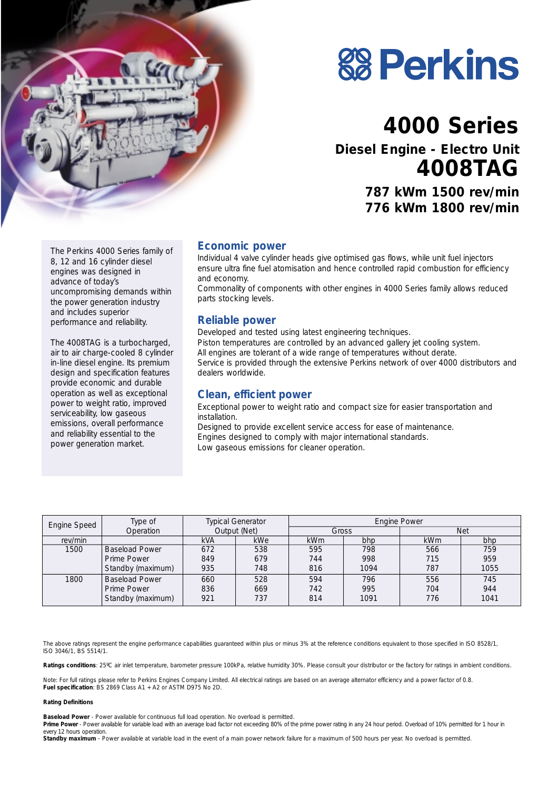

# **88 Perkins**

# **4000 Series Diesel Engine - Electro Unit**

**4008TAG**

**787 kWm 1500 rev/min 776 kWm 1800 rev/min**

The Perkins 4000 Series family of 8, 12 and 16 cylinder diesel engines was designed in advance of today's uncompromising demands within the power generation industry and includes superior performance and reliability.

The 4008TAG is a turbocharged, air to air charge-cooled 8 cylinder in-line diesel engine. Its premium design and specification features provide economic and durable operation as well as exceptional power to weight ratio, improved serviceability, low gaseous emissions, overall performance and reliability essential to the power generation market.

#### **Economic power**

Individual 4 valve cylinder heads give optimised gas flows, while unit fuel injectors ensure ultra fine fuel atomisation and hence controlled rapid combustion for efficiency and economy.

Commonality of components with other engines in 4000 Series family allows reduced parts stocking levels.

#### **Reliable power**

Developed and tested using latest engineering techniques. Piston temperatures are controlled by an advanced gallery jet cooling system. All engines are tolerant of a wide range of temperatures without derate. Service is provided through the extensive Perkins network of over 4000 distributors and dealers worldwide.

#### **Clean, efficient power**

Exceptional power to weight ratio and compact size for easier transportation and installation.

Designed to provide excellent service access for ease of maintenance. Engines designed to comply with major international standards. Low gaseous emissions for cleaner operation.

| Engine Speed | Type of               | <b>Typical Generator</b><br>Operation<br>Output (Net) |            | <b>Engine Power</b> |      |            |      |
|--------------|-----------------------|-------------------------------------------------------|------------|---------------------|------|------------|------|
|              |                       |                                                       |            | Gross               |      | Net        |      |
| rev/min      |                       | <b>kVA</b>                                            | <b>kWe</b> | <b>kWm</b>          | bhp  | <b>kWm</b> | bhp  |
| 1500         | <b>Baseload Power</b> | 672                                                   | 538        | 595                 | 798  | 566        | 759  |
|              | Prime Power           | 849                                                   | 679        | 744                 | 998  | 715        | 959  |
|              | Standby (maximum)     | 935                                                   | 748        | 816                 | 1094 | 787        | 1055 |
| 1800         | <b>Baseload Power</b> | 660                                                   | 528        | 594                 | 796  | 556        | 745  |
|              | Prime Power           | 836                                                   | 669        | 742                 | 995  | 704        | 944  |
|              | Standby (maximum)     | 921                                                   | 737        | 814                 | 1091 | 776        | 1041 |

The above ratings represent the engine performance capabilities guaranteed within plus or minus 3% at the reference conditions equivalent to those specified in ISO 8528/1, ISO 3046/1, BS 5514/1.

Ratings conditions: 25°C air inlet temperature, barometer pressure 100kPa, relative humidity 30%. Please consult your distributor or the factory for ratings in ambient conditions.

*Note:* For full ratings please refer to Perkins Engines Company Limited. All electrical ratings are based on an average alternator efficiency and a power factor of 0.8. **Fuel specification**: BS 2869 Class A1 + A2 or ASTM D975 No 2D.

#### **Rating Definitions**

**Baseload Power** - Power available for continuous full load operation. No overload is permitted.

Prime Power - Power available for variable load with an average load factor not exceeding 80% of the prime power rating in any 24 hour period. Overload of 10% permitted for 1 hour in every 12 hours operation

Standby maximum - Power available at variable load in the event of a main power network failure for a maximum of 500 hours per year. No overload is permitted.